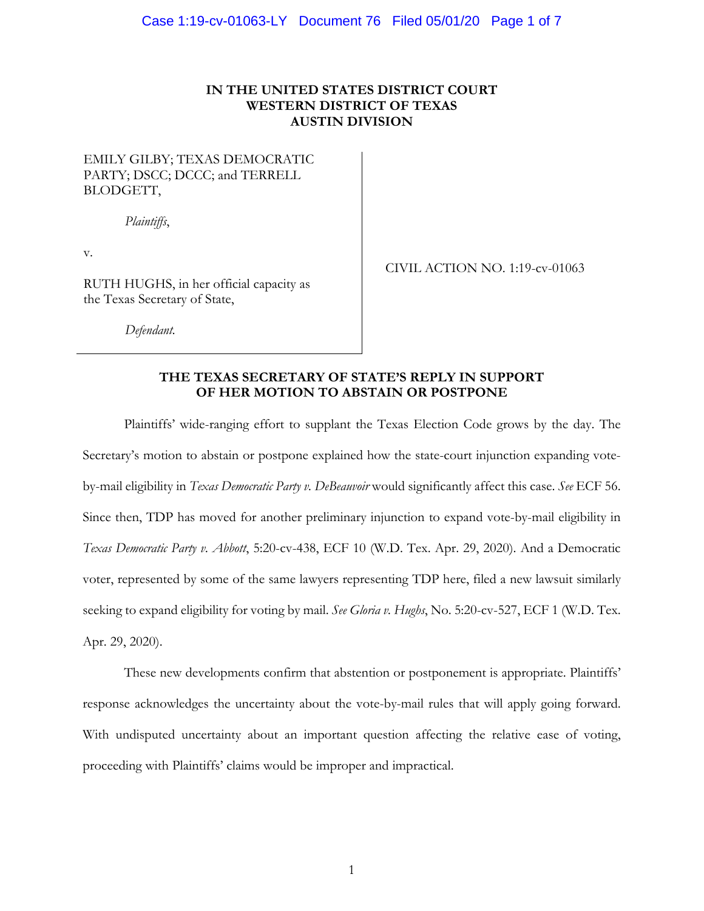## **IN THE UNITED STATES DISTRICT COURT WESTERN DISTRICT OF TEXAS AUSTIN DIVISION**

# EMILY GILBY; TEXAS DEMOCRATIC PARTY; DSCC; DCCC; and TERRELL BLODGETT,

*Plaintiffs*,

v.

RUTH HUGHS, in her official capacity as the Texas Secretary of State,

CIVIL ACTION NO. 1:19-cv-01063

*Defendant.* 

## **THE TEXAS SECRETARY OF STATE'S REPLY IN SUPPORT OF HER MOTION TO ABSTAIN OR POSTPONE**

Plaintiffs' wide-ranging effort to supplant the Texas Election Code grows by the day. The Secretary's motion to abstain or postpone explained how the state-court injunction expanding voteby-mail eligibility in *Texas Democratic Party v. DeBeauvoir* would significantly affect this case. *See* ECF 56. Since then, TDP has moved for another preliminary injunction to expand vote-by-mail eligibility in *Texas Democratic Party v. Abbott*, 5:20-cv-438, ECF 10 (W.D. Tex. Apr. 29, 2020). And a Democratic voter, represented by some of the same lawyers representing TDP here, filed a new lawsuit similarly seeking to expand eligibility for voting by mail. *See Gloria v. Hughs*, No. 5:20-cv-527, ECF 1 (W.D. Tex. Apr. 29, 2020).

These new developments confirm that abstention or postponement is appropriate. Plaintiffs' response acknowledges the uncertainty about the vote-by-mail rules that will apply going forward. With undisputed uncertainty about an important question affecting the relative ease of voting, proceeding with Plaintiffs' claims would be improper and impractical.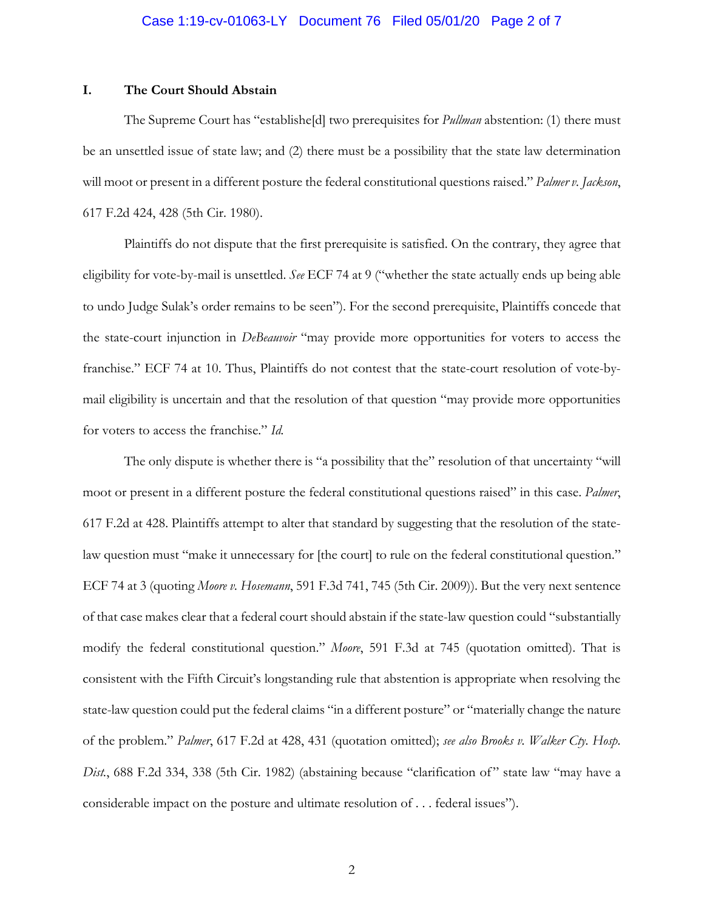### Case 1:19-cv-01063-LY Document 76 Filed 05/01/20 Page 2 of 7

## **I. The Court Should Abstain**

The Supreme Court has "establishe[d] two prerequisites for *Pullman* abstention: (1) there must be an unsettled issue of state law; and (2) there must be a possibility that the state law determination will moot or present in a different posture the federal constitutional questions raised." *Palmer v. Jackson*, 617 F.2d 424, 428 (5th Cir. 1980).

Plaintiffs do not dispute that the first prerequisite is satisfied. On the contrary, they agree that eligibility for vote-by-mail is unsettled. *See* ECF 74 at 9 ("whether the state actually ends up being able to undo Judge Sulak's order remains to be seen"). For the second prerequisite, Plaintiffs concede that the state-court injunction in *DeBeauvoir* "may provide more opportunities for voters to access the franchise." ECF 74 at 10. Thus, Plaintiffs do not contest that the state-court resolution of vote-bymail eligibility is uncertain and that the resolution of that question "may provide more opportunities for voters to access the franchise." *Id.*

The only dispute is whether there is "a possibility that the" resolution of that uncertainty "will moot or present in a different posture the federal constitutional questions raised" in this case. *Palmer*, 617 F.2d at 428. Plaintiffs attempt to alter that standard by suggesting that the resolution of the statelaw question must "make it unnecessary for [the court] to rule on the federal constitutional question." ECF 74 at 3 (quoting *Moore v. Hosemann*, 591 F.3d 741, 745 (5th Cir. 2009)). But the very next sentence of that case makes clear that a federal court should abstain if the state-law question could "substantially modify the federal constitutional question." *Moore*, 591 F.3d at 745 (quotation omitted). That is consistent with the Fifth Circuit's longstanding rule that abstention is appropriate when resolving the state-law question could put the federal claims "in a different posture" or "materially change the nature of the problem." *Palmer*, 617 F.2d at 428, 431 (quotation omitted); *see also Brooks v. Walker Cty. Hosp. Dist.*, 688 F.2d 334, 338 (5th Cir. 1982) (abstaining because "clarification of" state law "may have a considerable impact on the posture and ultimate resolution of . . . federal issues").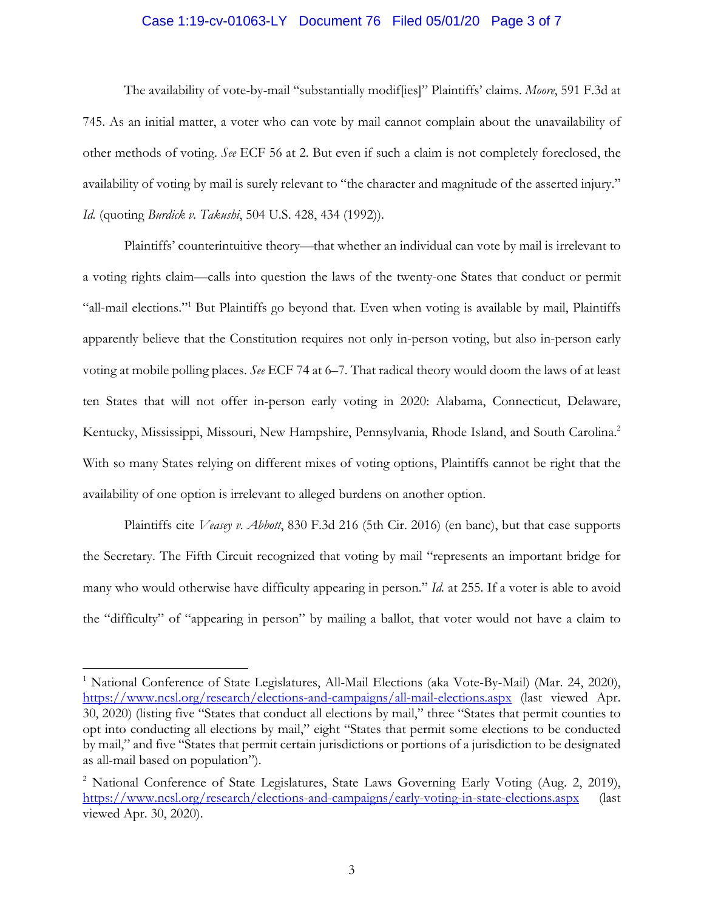### Case 1:19-cv-01063-LY Document 76 Filed 05/01/20 Page 3 of 7

The availability of vote-by-mail "substantially modif[ies]" Plaintiffs' claims. *Moore*, 591 F.3d at 745. As an initial matter, a voter who can vote by mail cannot complain about the unavailability of other methods of voting. *See* ECF 56 at 2. But even if such a claim is not completely foreclosed, the availability of voting by mail is surely relevant to "the character and magnitude of the asserted injury." *Id.* (quoting *Burdick v. Takushi*, 504 U.S. 428, 434 (1992)).

Plaintiffs' counterintuitive theory—that whether an individual can vote by mail is irrelevant to a voting rights claim—calls into question the laws of the twenty-one States that conduct or permit "all-mail elections."<sup>1</sup> But Plaintiffs go beyond that. Even when voting is available by mail, Plaintiffs apparently believe that the Constitution requires not only in-person voting, but also in-person early voting at mobile polling places. *See* ECF 74 at 6–7. That radical theory would doom the laws of at least ten States that will not offer in-person early voting in 2020: Alabama, Connecticut, Delaware, Kentucky, Mississippi, Missouri, New Hampshire, Pennsylvania, Rhode Island, and South Carolina.2 With so many States relying on different mixes of voting options, Plaintiffs cannot be right that the availability of one option is irrelevant to alleged burdens on another option.

Plaintiffs cite *Veasey v. Abbott*, 830 F.3d 216 (5th Cir. 2016) (en banc), but that case supports the Secretary. The Fifth Circuit recognized that voting by mail "represents an important bridge for many who would otherwise have difficulty appearing in person." *Id.* at 255. If a voter is able to avoid the "difficulty" of "appearing in person" by mailing a ballot, that voter would not have a claim to

1

<sup>&</sup>lt;sup>1</sup> National Conference of State Legislatures, All-Mail Elections (aka Vote-By-Mail) (Mar. 24, 2020), https://www.ncsl.org/research/elections-and-campaigns/all-mail-elections.aspx (last viewed Apr. 30, 2020) (listing five "States that conduct all elections by mail," three "States that permit counties to opt into conducting all elections by mail," eight "States that permit some elections to be conducted by mail," and five "States that permit certain jurisdictions or portions of a jurisdiction to be designated as all-mail based on population").

<sup>&</sup>lt;sup>2</sup> National Conference of State Legislatures, State Laws Governing Early Voting (Aug. 2, 2019), https://www.ncsl.org/research/elections-and-campaigns/early-voting-in-state-elections.aspx (last viewed Apr. 30, 2020).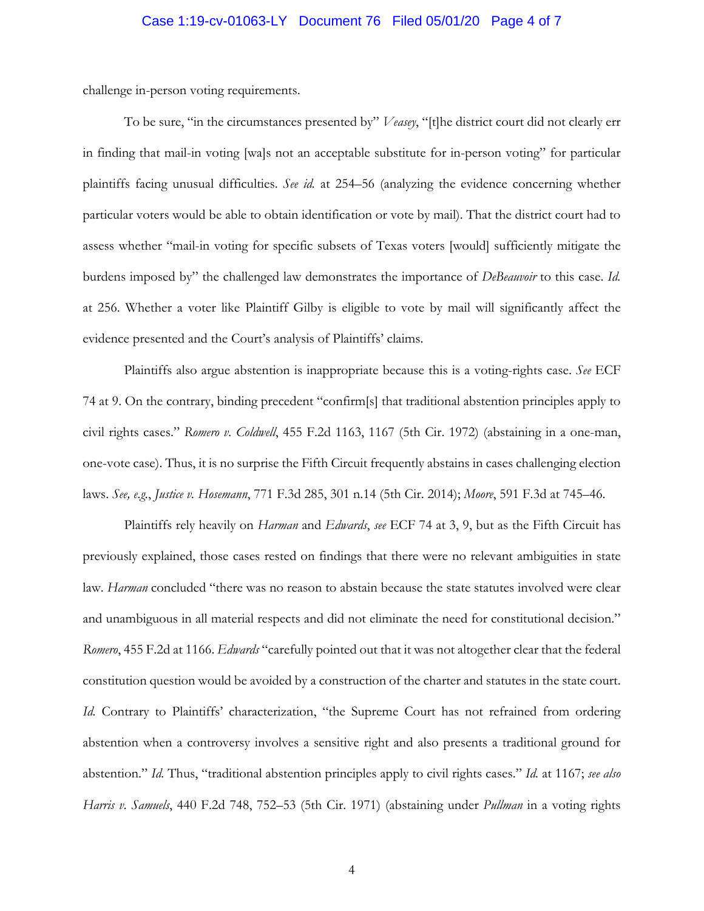### Case 1:19-cv-01063-LY Document 76 Filed 05/01/20 Page 4 of 7

challenge in-person voting requirements.

To be sure, "in the circumstances presented by" *Veasey*, "[t]he district court did not clearly err in finding that mail-in voting [wa]s not an acceptable substitute for in-person voting" for particular plaintiffs facing unusual difficulties. *See id.* at 254–56 (analyzing the evidence concerning whether particular voters would be able to obtain identification or vote by mail). That the district court had to assess whether "mail-in voting for specific subsets of Texas voters [would] sufficiently mitigate the burdens imposed by" the challenged law demonstrates the importance of *DeBeauvoir* to this case. *Id.* at 256. Whether a voter like Plaintiff Gilby is eligible to vote by mail will significantly affect the evidence presented and the Court's analysis of Plaintiffs' claims.

Plaintiffs also argue abstention is inappropriate because this is a voting-rights case. *See* ECF 74 at 9. On the contrary, binding precedent "confirm[s] that traditional abstention principles apply to civil rights cases." *Romero v. Coldwell*, 455 F.2d 1163, 1167 (5th Cir. 1972) (abstaining in a one-man, one-vote case). Thus, it is no surprise the Fifth Circuit frequently abstains in cases challenging election laws. *See, e.g.*, *Justice v. Hosemann*, 771 F.3d 285, 301 n.14 (5th Cir. 2014); *Moore*, 591 F.3d at 745–46.

Plaintiffs rely heavily on *Harman* and *Edwards*, *see* ECF 74 at 3, 9, but as the Fifth Circuit has previously explained, those cases rested on findings that there were no relevant ambiguities in state law. *Harman* concluded "there was no reason to abstain because the state statutes involved were clear and unambiguous in all material respects and did not eliminate the need for constitutional decision." *Romero*, 455 F.2d at 1166. *Edwards* "carefully pointed out that it was not altogether clear that the federal constitution question would be avoided by a construction of the charter and statutes in the state court. *Id.* Contrary to Plaintiffs' characterization, "the Supreme Court has not refrained from ordering abstention when a controversy involves a sensitive right and also presents a traditional ground for abstention." *Id.* Thus, "traditional abstention principles apply to civil rights cases." *Id.* at 1167; *see also Harris v. Samuels*, 440 F.2d 748, 752–53 (5th Cir. 1971) (abstaining under *Pullman* in a voting rights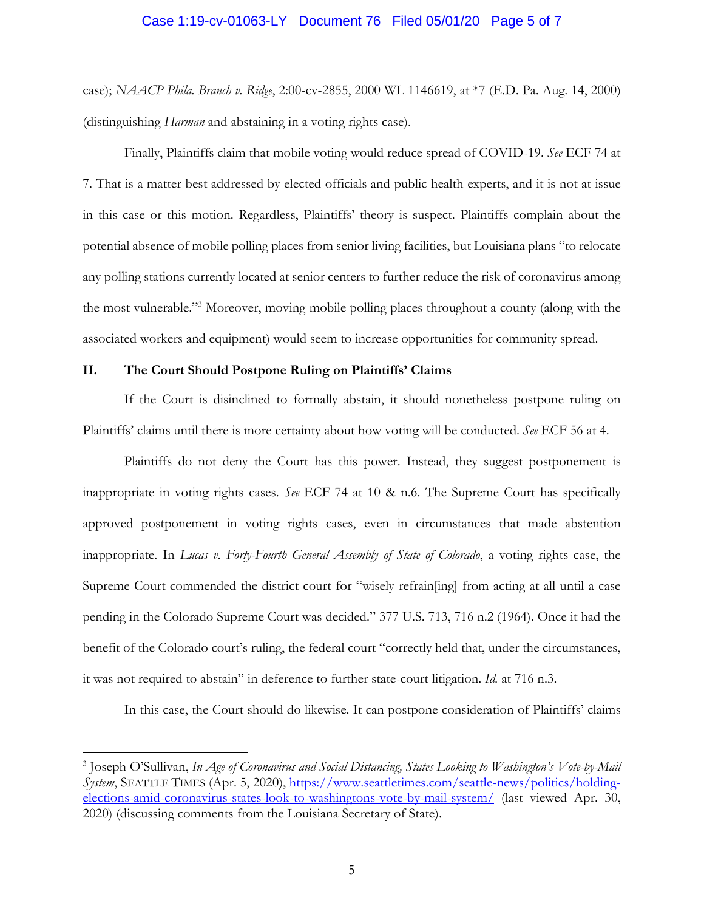#### Case 1:19-cv-01063-LY Document 76 Filed 05/01/20 Page 5 of 7

case); *NAACP Phila. Branch v. Ridge*, 2:00-cv-2855, 2000 WL 1146619, at \*7 (E.D. Pa. Aug. 14, 2000) (distinguishing *Harman* and abstaining in a voting rights case).

Finally, Plaintiffs claim that mobile voting would reduce spread of COVID-19. *See* ECF 74 at 7. That is a matter best addressed by elected officials and public health experts, and it is not at issue in this case or this motion. Regardless, Plaintiffs' theory is suspect. Plaintiffs complain about the potential absence of mobile polling places from senior living facilities, but Louisiana plans "to relocate any polling stations currently located at senior centers to further reduce the risk of coronavirus among the most vulnerable."3 Moreover, moving mobile polling places throughout a county (along with the associated workers and equipment) would seem to increase opportunities for community spread.

### **II. The Court Should Postpone Ruling on Plaintiffs' Claims**

1

If the Court is disinclined to formally abstain, it should nonetheless postpone ruling on Plaintiffs' claims until there is more certainty about how voting will be conducted. *See* ECF 56 at 4.

Plaintiffs do not deny the Court has this power. Instead, they suggest postponement is inappropriate in voting rights cases. *See* ECF 74 at 10 & n.6. The Supreme Court has specifically approved postponement in voting rights cases, even in circumstances that made abstention inappropriate. In *Lucas v. Forty-Fourth General Assembly of State of Colorado*, a voting rights case, the Supreme Court commended the district court for "wisely refrain[ing] from acting at all until a case pending in the Colorado Supreme Court was decided." 377 U.S. 713, 716 n.2 (1964). Once it had the benefit of the Colorado court's ruling, the federal court "correctly held that, under the circumstances, it was not required to abstain" in deference to further state-court litigation. *Id.* at 716 n.3.

In this case, the Court should do likewise. It can postpone consideration of Plaintiffs' claims

<sup>3</sup> Joseph O'Sullivan, *In Age of Coronavirus and Social Distancing, States Looking to Washington's Vote-by-Mail System*, SEATTLE TIMES (Apr. 5, 2020), https://www.seattletimes.com/seattle-news/politics/holdingelections-amid-coronavirus-states-look-to-washingtons-vote-by-mail-system/ (last viewed Apr. 30, 2020) (discussing comments from the Louisiana Secretary of State).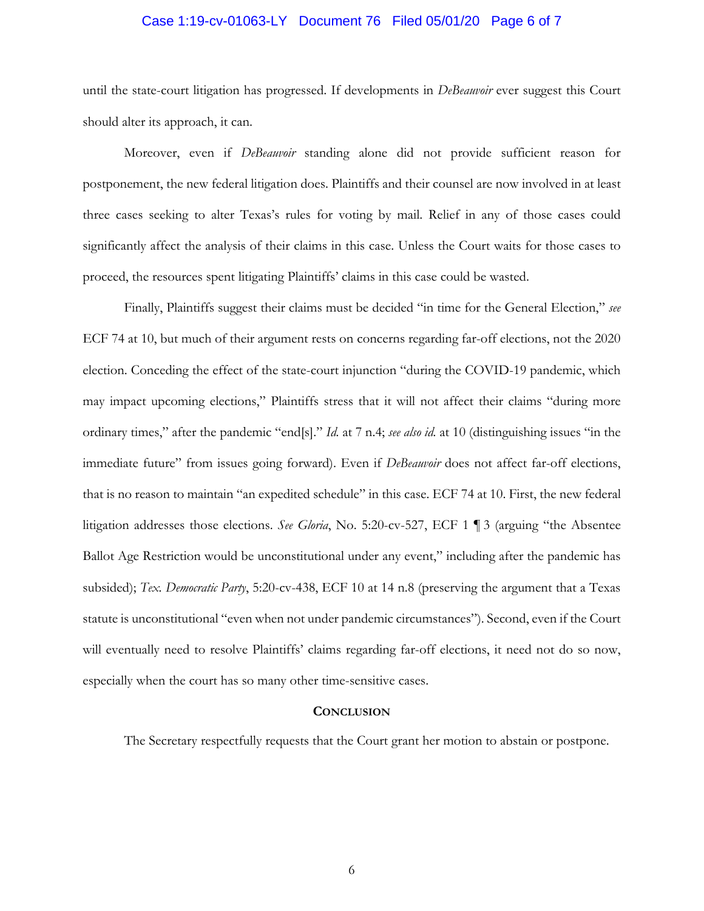#### Case 1:19-cv-01063-LY Document 76 Filed 05/01/20 Page 6 of 7

until the state-court litigation has progressed. If developments in *DeBeauvoir* ever suggest this Court should alter its approach, it can.

Moreover, even if *DeBeauvoir* standing alone did not provide sufficient reason for postponement, the new federal litigation does. Plaintiffs and their counsel are now involved in at least three cases seeking to alter Texas's rules for voting by mail. Relief in any of those cases could significantly affect the analysis of their claims in this case. Unless the Court waits for those cases to proceed, the resources spent litigating Plaintiffs' claims in this case could be wasted.

Finally, Plaintiffs suggest their claims must be decided "in time for the General Election," *see* ECF 74 at 10, but much of their argument rests on concerns regarding far-off elections, not the 2020 election. Conceding the effect of the state-court injunction "during the COVID-19 pandemic, which may impact upcoming elections," Plaintiffs stress that it will not affect their claims "during more ordinary times," after the pandemic "end[s]." *Id.* at 7 n.4; *see also id.* at 10 (distinguishing issues "in the immediate future" from issues going forward). Even if *DeBeauvoir* does not affect far-off elections, that is no reason to maintain "an expedited schedule" in this case. ECF 74 at 10. First, the new federal litigation addresses those elections. *See Gloria*, No. 5:20-cv-527, ECF 1 ¶ 3 (arguing "the Absentee Ballot Age Restriction would be unconstitutional under any event," including after the pandemic has subsided); *Tex. Democratic Party*, 5:20-cv-438, ECF 10 at 14 n.8 (preserving the argument that a Texas statute is unconstitutional "even when not under pandemic circumstances"). Second, even if the Court will eventually need to resolve Plaintiffs' claims regarding far-off elections, it need not do so now, especially when the court has so many other time-sensitive cases.

#### **CONCLUSION**

The Secretary respectfully requests that the Court grant her motion to abstain or postpone.